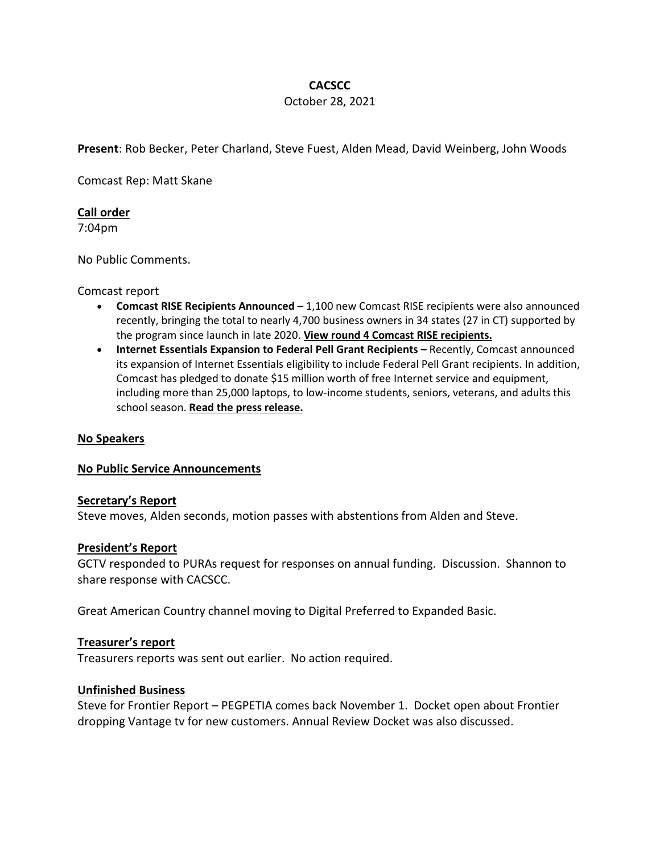# **CACSCC**

## October 28, 2021

**Present**: Rob Becker, Peter Charland, Steve Fuest, Alden Mead, David Weinberg, John Woods

Comcast Rep: Matt Skane

## **Call order**

7:04pm

No Public Comments.

### Comcast report

- **Comcast RISE Recipients Announced** 1,100 new Comcast RISE recipients were also announced recently, bringing the total to nearly 4,700 business owners in 34 states (27 in CT) supported by the program since launch in late 2020. **View round 4 Comcast RISE recipients.**
- **Internet Essentials Expansion to Federal Pell Grant Recipients** Recently, Comcast announced its expansion of Internet Essentials eligibility to include Federal Pell Grant recipients. In addition, Comcast has pledged to donate \$15 million worth of free Internet service and equipment, including more than 25,000 laptops, to low-income students, seniors, veterans, and adults this school season. **Read the press release.**

## **No Speakers**

### **No Public Service Announcements**

### **Secretary's Report**

Steve moves, Alden seconds, motion passes with abstentions from Alden and Steve.

### **President's Report**

GCTV responded to PURAs request for responses on annual funding. Discussion. Shannon to share response with CACSCC.

Great American Country channel moving to Digital Preferred to Expanded Basic.

## **Treasurer's report**

Treasurers reports was sent out earlier. No action required.

### **Unfinished Business**

Steve for Frontier Report – PEGPETIA comes back November 1. Docket open about Frontier dropping Vantage tv for new customers. Annual Review Docket was also discussed.